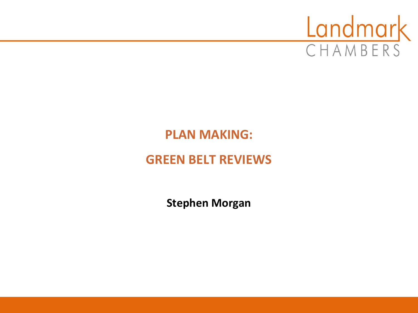

# **PLAN MAKING:**

## **GREEN BELT REVIEWS**

**Stephen Morgan**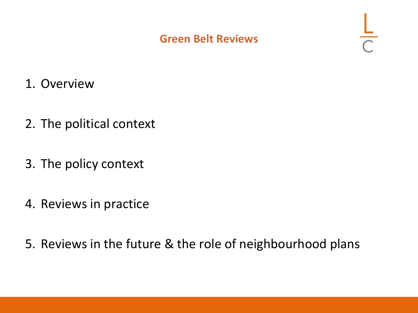#### **Green Belt Reviews**

- 1. Overview
- 2. The political context
- 3. The policy context
- 4. Reviews in practice
- 5. Reviews in the future & the role of neighbourhood plans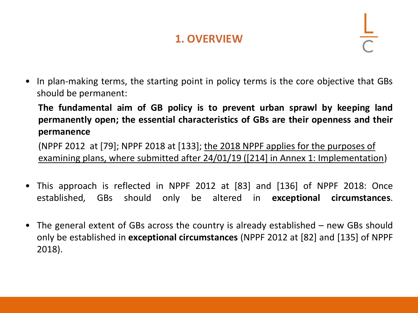### **1. OVERVIEW**

In plan-making terms, the starting point in policy terms is the core objective that GBs should be permanent:

**The fundamental aim of GB policy is to prevent urban sprawl by keeping land permanently open; the essential characteristics of GBs are their openness and their permanence**

(NPPF 2012 at [79]; NPPF 2018 at [133]; the 2018 NPPF applies for the purposes of examining plans, where submitted after 24/01/19 ([214] in Annex 1: Implementation)

- This approach is reflected in NPPF 2012 at [83] and [136] of NPPF 2018: Once established, GBs should only be altered in **exceptional circumstances**.
- The general extent of GBs across the country is already established new GBs should only be established in **exceptional circumstances** (NPPF 2012 at [82] and [135] of NPPF 2018).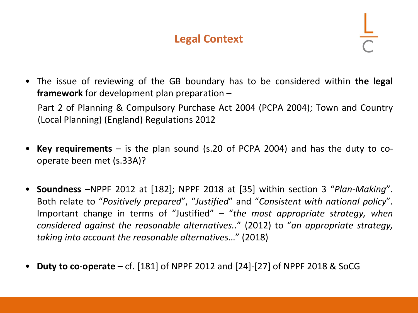#### **Legal Context**

- The issue of reviewing of the GB boundary has to be considered within **the legal framework** for development plan preparation – Part 2 of Planning & Compulsory Purchase Act 2004 (PCPA 2004); Town and Country (Local Planning) (England) Regulations 2012
- **Key requirements** is the plan sound (s.20 of PCPA 2004) and has the duty to cooperate been met (s.33A)?
- **Soundness** –NPPF 2012 at [182]; NPPF 2018 at [35] within section 3 "*Plan-Making*". Both relate to "*Positively prepared*", "*Justified*" and "*Consistent with national policy*". Important change in terms of "Justified" – "*the most appropriate strategy, when considered against the reasonable alternatives.*." (2012) to "*an appropriate strategy, taking into account the reasonable alternatives*…" (2018)
- **Duty to co-operate** cf. [181] of NPPF 2012 and [24]-[27] of NPPF 2018 & SoCG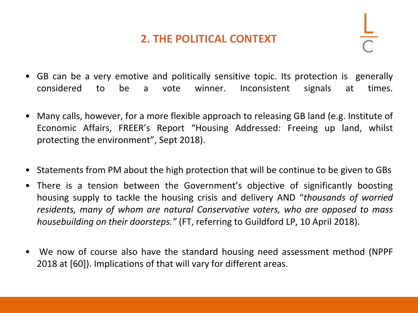#### **2. THE POLITICAL CONTEXT**

- GB can be a very emotive and politically sensitive topic. Its protection is generally considered to be a vote winner. Inconsistent signals at times.
- Many calls, however, for a more flexible approach to releasing GB land (e.g. Institute of Economic Affairs, FREER's Report "Housing Addressed: Freeing up land, whilst protecting the environment", Sept 2018).
- Statements from PM about the high protection that will be continue to be given to GBs
- There is a tension between the Government's objective of significantly boosting housing supply to tackle the housing crisis and delivery AND "*thousands of worried residents, many of whom are natural Conservative voters, who are opposed to mass housebuilding on their doorsteps."* (FT, referring to Guildford LP, 10 April 2018).
- We now of course also have the standard housing need assessment method (NPPF 2018 at [60]). Implications of that will vary for different areas.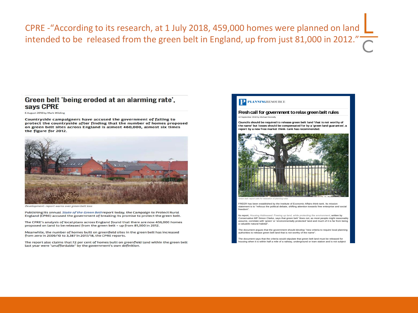CPRE -"According to its research, at 1 July 2018, 459,000 homes were planned on land intended to be released from the green belt in England, up from just 81,000 in 2012."

#### Green belt 'being eroded at an alarming rate'. says CPRE

6 August 2018 by Mark Wilding

Countryside campaigners have accused the government of failing to protect the countryside after finding that the number of homes proposed on green belt sites across England is almost 460,000, almost six times the figure for 2012.



ent: report warns over green belt loss

Publishing its annual State of the Green Belt report today, the Campaign to Protect Rural England (CPRE) accused the government of breaking its promise to protect the green belt.

The CPRE's analysis of local plans across England found that there are now 459,000 homes proposed on land to be released from the green belt - up from 81,000 in 2012.

Meanwhile, the number of homes built on greenfield sites in the green belt has increased from zero in 2009/10 to 3,387 in 2017/18, the CPRE reports.

The report also claims that 72 per cent of homes built on greenfield land within the green belt last year were "unaffordable" by the government's own definition.

#### **Freshcall for government torelaxgreenbeltrules** mber 2018 by Michael Donnell

Councils should be required to release green belt land 'that is not worthy of **the should for government to relax green belt rules**<br>To september 2018 by Michael Donnely<br>Councils should be required to release green belt land 'that is not worthy of<br>Councils should be compensated for by a 'green land g **Fresh call for government to relax green bet**<br>In September 2018 by Michael Donnelly<br>Councils should be required to release green bett land 'that it<br>the name but losses should be compensated for by a regent<br>report by a new



*Green belt: report calls for relaxation of planning rules*

FREER has been established by the Institute of Economic Affairs think-tank. Its mission statement is to "refocus the political debate, shifting attention towards free enterprise and social freedom".

Its report, *Housing Addressed: Freeing up land, while protecting the environment*, written by Conservative MP Simon Clarke, says that green belt "does not, as most people might reasonably assume, correlate with 'green' or 'environmentally protected' land and much of it is far from being a valuable natural habitat".

The document argues that the government should develop "new criteria to require local planning authorities to release green belt land that is not worthy of the name".

The document says that the criteria would stipulate that green belt land must be released for ousing when it is within half a mile of a railway, underground or tram station and is not subject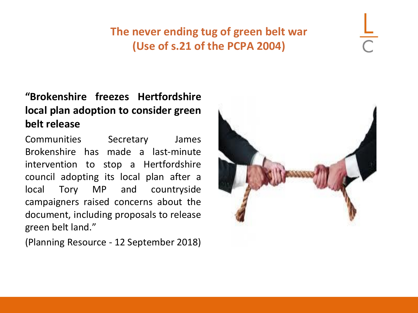### **The never ending tug of green belt war (Use of s.21 of the PCPA 2004)**

#### **"Brokenshire freezes Hertfordshire local plan adoption to consider green belt release**

Communities Secretary James Brokenshire has made a last-minute intervention to stop a Hertfordshire council adopting its local plan after a local Tory MP and countryside campaigners raised concerns about the document, including proposals to release green belt land."

(Planning Resource - 12 September 2018)

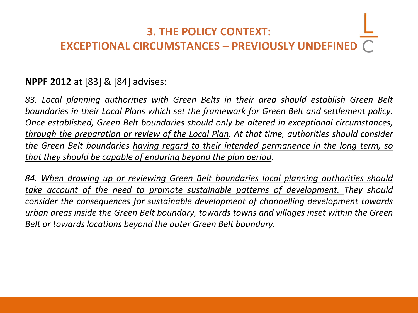## **3. THE POLICY CONTEXT: EXCEPTIONAL CIRCUMSTANCES – PREVIOUSLY UNDEFINED**

#### **NPPF 2012** at [83] & [84] advises:

*83. Local planning authorities with Green Belts in their area should establish Green Belt boundaries in their Local Plans which set the framework for Green Belt and settlement policy. Once established, Green Belt boundaries should only be altered in exceptional circumstances, through the preparation or review of the Local Plan. At that time, authorities should consider the Green Belt boundaries having regard to their intended permanence in the long term, so that they should be capable of enduring beyond the plan period.*

*84. When drawing up or reviewing Green Belt boundaries local planning authorities should take account of the need to promote sustainable patterns of development. They should consider the consequences for sustainable development of channelling development towards urban areas inside the Green Belt boundary, towards towns and villages inset within the Green Belt or towards locations beyond the outer Green Belt boundary.*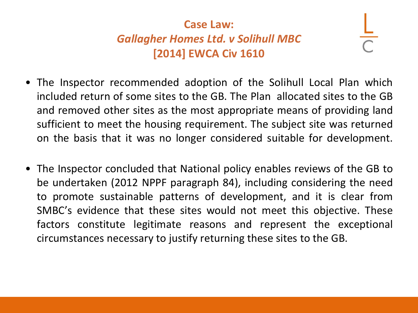## **Case Law:** *Gallagher Homes Ltd. v Solihull MBC*  **[2014] EWCA Civ 1610**

- The Inspector recommended adoption of the Solihull Local Plan which included return of some sites to the GB. The Plan allocated sites to the GB and removed other sites as the most appropriate means of providing land sufficient to meet the housing requirement. The subject site was returned on the basis that it was no longer considered suitable for development.
- The Inspector concluded that National policy enables reviews of the GB to be undertaken (2012 NPPF paragraph 84), including considering the need to promote sustainable patterns of development, and it is clear from SMBC's evidence that these sites would not meet this objective. These factors constitute legitimate reasons and represent the exceptional circumstances necessary to justify returning these sites to the GB.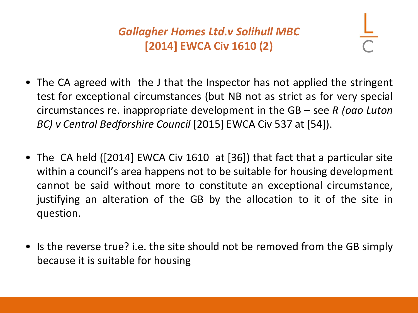## *Gallagher Homes Ltd.v Solihull MBC*  **[2014] EWCA Civ 1610 (2)**

- The CA agreed with the J that the Inspector has not applied the stringent test for exceptional circumstances (but NB not as strict as for very special circumstances re. inappropriate development in the GB – see *R (oao Luton BC) v Central Bedforshire Council* [2015] EWCA Civ 537 at [54]).
- The CA held ([2014] EWCA Civ 1610 at [36]) that fact that a particular site within a council's area happens not to be suitable for housing development cannot be said without more to constitute an exceptional circumstance, justifying an alteration of the GB by the allocation to it of the site in question.
- Is the reverse true? i.e. the site should not be removed from the GB simply because it is suitable for housing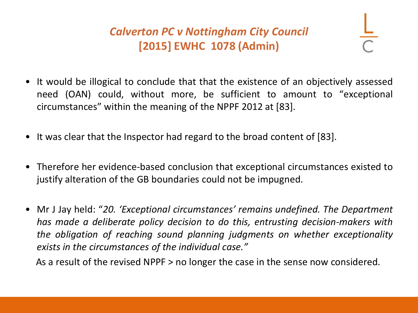## *Calverton PC v Nottingham City Council* **[2015] EWHC 1078 (Admin)**

- It would be illogical to conclude that that the existence of an objectively assessed need (OAN) could, without more, be sufficient to amount to "exceptional circumstances" within the meaning of the NPPF 2012 at [83].
- It was clear that the Inspector had regard to the broad content of [83].
- Therefore her evidence-based conclusion that exceptional circumstances existed to justify alteration of the GB boundaries could not be impugned.
- Mr J Jay held: "*20. 'Exceptional circumstances' remains undefined. The Department has made a deliberate policy decision to do this, entrusting decision-makers with the obligation of reaching sound planning judgments on whether exceptionality exists in the circumstances of the individual case."*

As a result of the revised NPPF > no longer the case in the sense now considered.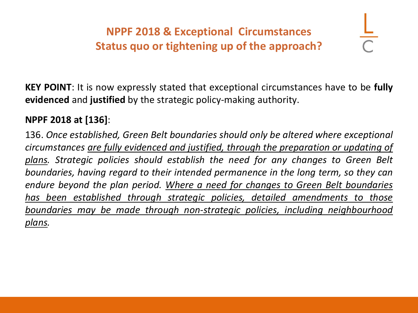## **NPPF 2018 & Exceptional Circumstances Status quo or tightening up of the approach?**

**KEY POINT**: It is now expressly stated that exceptional circumstances have to be **fully evidenced** and **justified** by the strategic policy-making authority.

#### **NPPF 2018 at [136]**:

136. *Once established, Green Belt boundaries should only be altered where exceptional circumstances are fully evidenced and justified, through the preparation or updating of plans. Strategic policies should establish the need for any changes to Green Belt boundaries, having regard to their intended permanence in the long term, so they can endure beyond the plan period. Where a need for changes to Green Belt boundaries has been established through strategic policies, detailed amendments to those boundaries may be made through non-strategic policies, including neighbourhood plans.*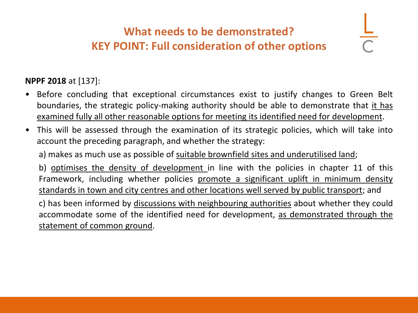## **What needs to be demonstrated? KEY POINT: Full consideration of other options**

#### **NPPF 2018** at [137]:

- Before concluding that exceptional circumstances exist to justify changes to Green Belt boundaries, the strategic policy-making authority should be able to demonstrate that it has examined fully all other reasonable options for meeting its identified need for development.
- This will be assessed through the examination of its strategic policies, which will take into account the preceding paragraph, and whether the strategy:

a) makes as much use as possible of suitable brownfield sites and underutilised land;

b) optimises the density of development in line with the policies in chapter 11 of this Framework, including whether policies promote a significant uplift in minimum density standards in town and city centres and other locations well served by public transport; and

c) has been informed by discussions with neighbouring authorities about whether they could accommodate some of the identified need for development, as demonstrated through the statement of common ground.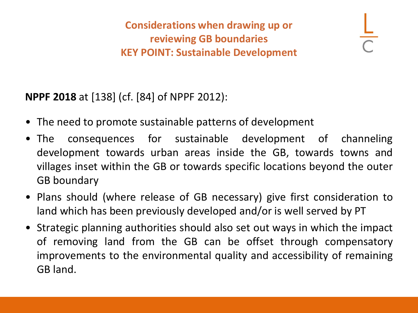**Considerations when drawing up or reviewing GB boundaries KEY POINT: Sustainable Development**

**NPPF 2018** at [138] (cf. [84] of NPPF 2012):

- The need to promote sustainable patterns of development
- The consequences for sustainable development of channeling development towards urban areas inside the GB, towards towns and villages inset within the GB or towards specific locations beyond the outer GB boundary
- Plans should (where release of GB necessary) give first consideration to land which has been previously developed and/or is well served by PT
- Strategic planning authorities should also set out ways in which the impact of removing land from the GB can be offset through compensatory improvements to the environmental quality and accessibility of remaining GB land.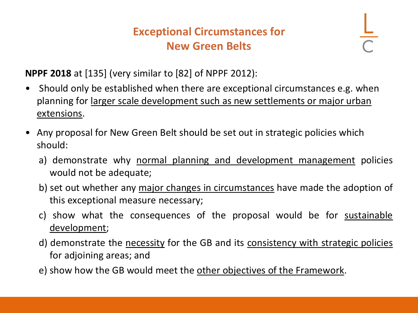#### **Exceptional Circumstances for New Green Belts**

**NPPF 2018** at [135] (very similar to [82] of NPPF 2012):

- Should only be established when there are exceptional circumstances e.g. when planning for larger scale development such as new settlements or major urban extensions.
- Any proposal for New Green Belt should be set out in strategic policies which should:
	- a) demonstrate why normal planning and development management policies would not be adequate;
	- b) set out whether any major changes in circumstances have made the adoption of this exceptional measure necessary;
	- c) show what the consequences of the proposal would be for sustainable development;
	- d) demonstrate the necessity for the GB and its consistency with strategic policies for adjoining areas; and
	- e) show how the GB would meet the other objectives of the Framework.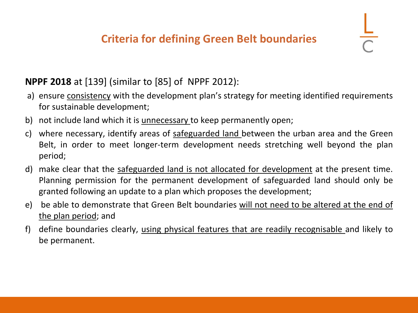#### **NPPF 2018** at [139] (similar to [85] of NPPF 2012):

- a) ensure consistency with the development plan's strategy for meeting identified requirements for sustainable development;
- b) not include land which it is unnecessary to keep permanently open;
- c) where necessary, identify areas of safeguarded land between the urban area and the Green Belt, in order to meet longer-term development needs stretching well beyond the plan period;
- d) make clear that the safeguarded land is not allocated for development at the present time. Planning permission for the permanent development of safeguarded land should only be granted following an update to a plan which proposes the development;
- e) be able to demonstrate that Green Belt boundaries will not need to be altered at the end of the plan period; and
- f) define boundaries clearly, using physical features that are readily recognisable and likely to be permanent.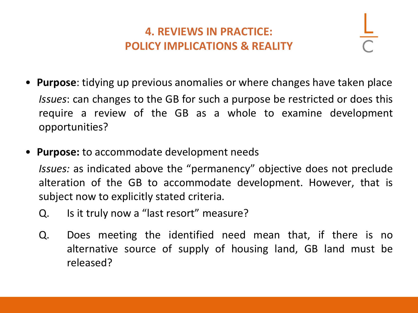### **4. REVIEWS IN PRACTICE: POLICY IMPLICATIONS & REALITY**

- **Purpose**: tidying up previous anomalies or where changes have taken place *Issues*: can changes to the GB for such a purpose be restricted or does this require a review of the GB as a whole to examine development opportunities?
- **Purpose:** to accommodate development needs *Issues:* as indicated above the "permanency" objective does not preclude alteration of the GB to accommodate development. However, that is subject now to explicitly stated criteria.
	- Q. Is it truly now a "last resort" measure?
	- Q. Does meeting the identified need mean that, if there is no alternative source of supply of housing land, GB land must be released?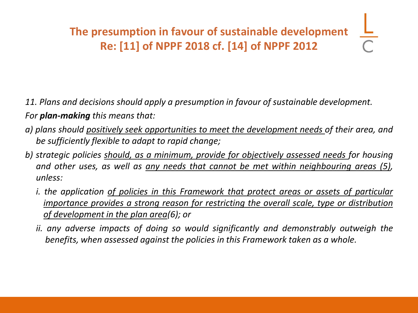- *11. Plans and decisions should apply a presumption in favour of sustainable development. For plan-making this means that:*
- *a) plans should positively seek opportunities to meet the development needs of their area, and be sufficiently flexible to adapt to rapid change;*
- *b) strategic policies should, as a minimum, provide for objectively assessed needs for housing and other uses, as well as any needs that cannot be met within neighbouring areas (5), unless:*
	- *i. the application of policies in this Framework that protect areas or assets of particular importance provides a strong reason for restricting the overall scale, type or distribution of development in the plan area(6); or*
	- *ii. any adverse impacts of doing so would significantly and demonstrably outweigh the benefits, when assessed against the policies in this Framework taken as a whole.*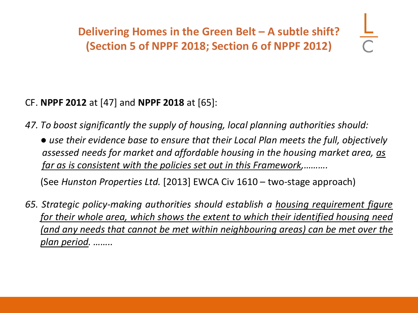**Delivering Homes in the Green Belt - A subtle shift? (Section 5 of NPPF 2018; Section 6 of NPPF 2012)**

#### CF. **NPPF 2012** at [47] and **NPPF 2018** at [65]:

*47. To boost significantly the supply of housing, local planning authorities should:*

*● use their evidence base to ensure that their Local Plan meets the full, objectively assessed needs for market and affordable housing in the housing market area, as far as is consistent with the policies set out in this Framework,……….*

(See *Hunston Properties Ltd.* [2013] EWCA Civ 1610 – two-stage approach)

*65. Strategic policy-making authorities should establish a housing requirement figure for their whole area, which shows the extent to which their identified housing need (and any needs that cannot be met within neighbouring areas) can be met over the plan period. ……..*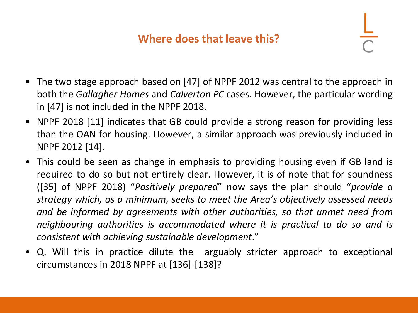#### **Where does that leave this?**

- The two stage approach based on [47] of NPPF 2012 was central to the approach in both the *Gallagher Homes* and *Calverton PC* cases*.* However, the particular wording in [47] is not included in the NPPF 2018.
- NPPF 2018 [11] indicates that GB could provide a strong reason for providing less than the OAN for housing. However, a similar approach was previously included in NPPF 2012 [14].
- This could be seen as change in emphasis to providing housing even if GB land is required to do so but not entirely clear. However, it is of note that for soundness ([35] of NPPF 2018) "*Positively prepared*" now says the plan should "*provide a strategy which, as a minimum, seeks to meet the Area's objectively assessed needs and be informed by agreements with other authorities, so that unmet need from neighbouring authorities is accommodated where it is practical to do so and is consistent with achieving sustainable development*."
- Q. Will this in practice dilute the arguably stricter approach to exceptional circumstances in 2018 NPPF at [136]-[138]?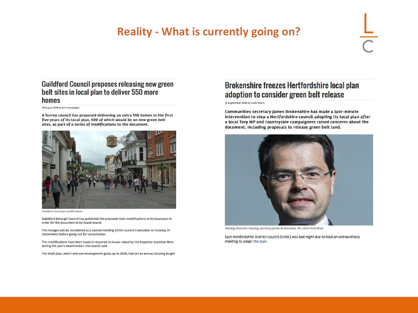#### **Reality - What is currently going on?**

#### **Guildford Council proposes releasing new green** belt sites in local plan to deliver 550 more homes

29 August 2018 by John Geoghegan

A Surrey council has proposed delivering an extra 550 homes in the first five years of its local plan, 500 of which would be on new green belt sites, as part of a series of modifications to the document.



Guildford: local plan modifications

Guildford Borough Council has published the proposed main modifications to its local plan in order for the document to be found sound.

The changes will be considered at a special meeting of the council's executive on Tuesday (4 September) before going out for consultation.

The modifications have been made in response to issues raised by the inspector Joanthan Bore during the plan's examination, the council said.

The draft plan, which sets out development goals up to 2034, had set an annual housing target

#### Brokenshire freezes Hertfordshire local plan adoption to consider green belt release

12 September 2018 by Colin Marrs

Communities secretary James Brokenshire has made a last-minute intervention to stop a Hertfordshire council adopting its local plan after a local Tory MP and countryside campaigners raised concerns about the document, including proposals to release green belt land.



Holding direction: housing secretary James Brokenshire. Pic: Chris McAndrew

East Hertfordshire District Council (EHDC) was last night due to hold an extraordinary meeting to adopt the plan.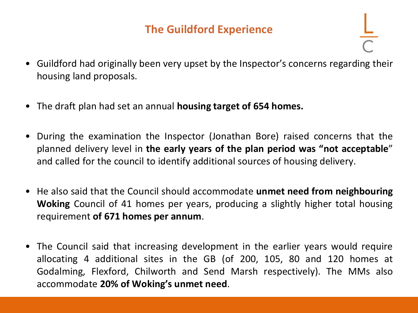### **The Guildford Experience**

- Guildford had originally been very upset by the Inspector's concerns regarding their housing land proposals.
- The draft plan had set an annual **housing target of 654 homes.**
- During the examination the Inspector (Jonathan Bore) raised concerns that the planned delivery level in **the early years of the plan period was "not acceptable**" and called for the council to identify additional sources of housing delivery.
- He also said that the Council should accommodate **unmet need from neighbouring Woking** Council of 41 homes per years, producing a slightly higher total housing requirement **of 671 homes per annum**.
- The Council said that increasing development in the earlier years would require allocating 4 additional sites in the GB (of 200, 105, 80 and 120 homes at Godalming, Flexford, Chilworth and Send Marsh respectively). The MMs also accommodate **20% of Woking's unmet need**.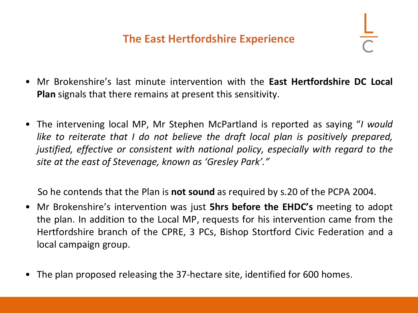#### **The East Hertfordshire Experience**

- Mr Brokenshire's last minute intervention with the **East Hertfordshire DC Local Plan** signals that there remains at present this sensitivity.
- The intervening local MP, Mr Stephen McPartland is reported as saying "*I would like to reiterate that I do not believe the draft local plan is positively prepared, justified, effective or consistent with national policy, especially with regard to the site at the east of Stevenage, known as 'Gresley Park'."*

So he contends that the Plan is **not sound** as required by s.20 of the PCPA 2004.

- Mr Brokenshire's intervention was just **5hrs before the EHDC's** meeting to adopt the plan. In addition to the Local MP, requests for his intervention came from the Hertfordshire branch of the CPRE, 3 PCs, Bishop Stortford Civic Federation and a local campaign group.
- The plan proposed releasing the 37-hectare site, identified for 600 homes.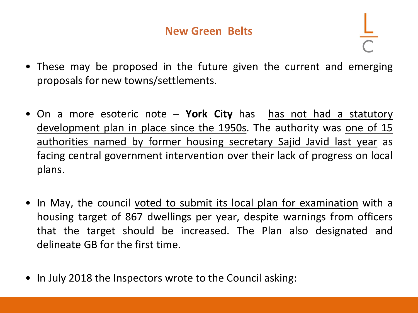- These may be proposed in the future given the current and emerging proposals for new towns/settlements.
- On a more esoteric note York City has has not had a statutory [development](http://www.planningresource.co.uk/article/1450408/javid-names-15-councils-facing-local-plan-intervention) plan in place since the 1950s. The authority was one of 15 authorities named by former housing secretary Sajid Javid last year as facing central government intervention over their lack of progress on local plans.
- In May, the council voted to submit its local plan for [examination](http://www.planningresource.co.uk/article/1465136/york-councillors-vote-submit-local-plan-examination) with a housing target of 867 dwellings per year, despite warnings from officers that the target should be increased. The Plan also designated and delineate GB for the first time.
- In July 2018 the Inspectors wrote to the Council asking: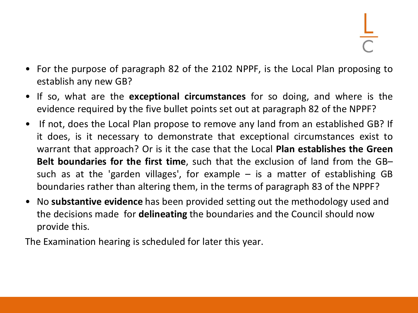- For the purpose of paragraph 82 of the 2102 NPPF, is the Local Plan proposing to establish any new GB?
- If so, what are the **exceptional circumstances** for so doing, and where is the evidence required by the five bullet points set out at paragraph 82 of the NPPF?
- If not, does the Local Plan propose to remove any land from an established GB? If it does, is it necessary to demonstrate that exceptional circumstances exist to warrant that approach? Or is it the case that the Local **Plan establishes the Green Belt boundaries for the first time**, such that the exclusion of land from the GB– such as at the 'garden villages', for example  $-$  is a matter of establishing GB boundaries rather than altering them, in the terms of paragraph 83 of the NPPF?
- No **substantive evidence** has been provided setting out the methodology used and the decisions made for **delineating** the boundaries and the Council should now provide this.

The Examination hearing is scheduled for later this year.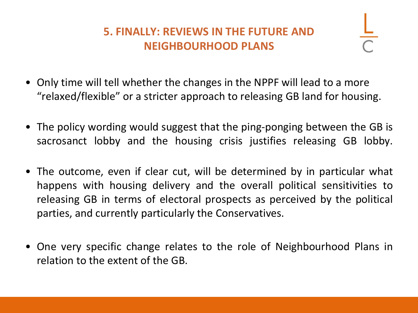## **5. FINALLY: REVIEWS IN THE FUTURE AND NEIGHBOURHOOD PLANS**

- Only time will tell whether the changes in the NPPF will lead to a more "relaxed/flexible" or a stricter approach to releasing GB land for housing.
- The policy wording would suggest that the ping-ponging between the GB is sacrosanct lobby and the housing crisis justifies releasing GB lobby.
- The outcome, even if clear cut, will be determined by in particular what happens with housing delivery and the overall political sensitivities to releasing GB in terms of electoral prospects as perceived by the political parties, and currently particularly the Conservatives.
- One very specific change relates to the role of Neighbourhood Plans in relation to the extent of the GB.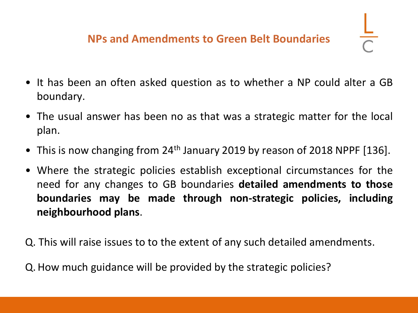- It has been an often asked question as to whether a NP could alter a GB boundary.
- The usual answer has been no as that was a strategic matter for the local plan.
- This is now changing from 24<sup>th</sup> January 2019 by reason of 2018 NPPF [136].
- Where the strategic policies establish exceptional circumstances for the need for any changes to GB boundaries **detailed amendments to those boundaries may be made through non-strategic policies, including neighbourhood plans**.

Q. This will raise issues to to the extent of any such detailed amendments.

Q. How much guidance will be provided by the strategic policies?